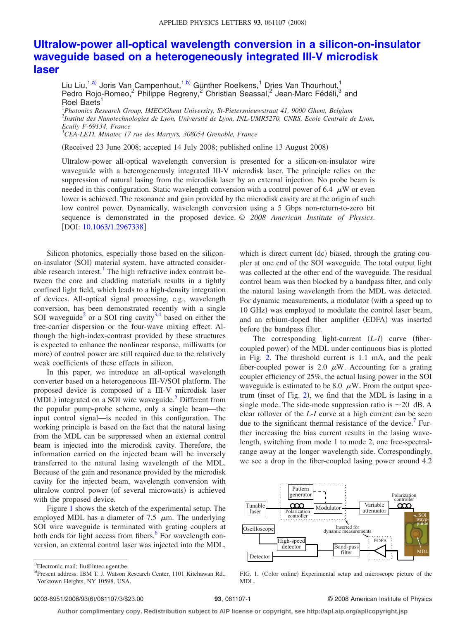## **[Ultralow-power all-optical wavelength conversion in a silicon-on-insulator](http://dx.doi.org/10.1063/1.2967338) [waveguide based on a heterogeneously integrated III-V microdisk](http://dx.doi.org/10.1063/1.2967338) [laser](http://dx.doi.org/10.1063/1.2967338)**

Liu Liu,<sup>1[,a](#page-0-0))</sup> Joris Van Campenhout,<sup>1[,b](#page-0-1))</sup> Günther Roelkens,<sup>1</sup> Dries Van Thourhout,<sup>1</sup> Pedro Rojo-Romeo,<sup>2</sup> Philippe Regreny,<sup>2</sup> Christian Seassal,<sup>2</sup> Jean-Marc Fédéli,<sup>3</sup> and Roel Baets<sup>1</sup>

1 *Photonics Research Group, IMEC/Ghent University, St-Pietersnieuwstraat 41, 9000 Ghent, Belgium* 2 *Institut des Nanotechnologies de Lyon, Université de Lyon, INL-UMR5270, CNRS, Ecole Centrale de Lyon, Ecully F-69134, France* 3 *CEA-LETI, Minatec 17 rue des Martyrs, 308054 Grenoble, France*

Received 23 June 2008; accepted 14 July 2008; published online 13 August 2008-

Ultralow-power all-optical wavelength conversion is presented for a silicon-on-insulator wire waveguide with a heterogeneously integrated III-V microdisk laser. The principle relies on the suppression of natural lasing from the microdisk laser by an external injection. No probe beam is needed in this configuration. Static wavelength conversion with a control power of 6.4  $\mu$ W or even lower is achieved. The resonance and gain provided by the microdisk cavity are at the origin of such low control power. Dynamically, wavelength conversion using a 5 Gbps non-return-to-zero bit sequence is demonstrated in the proposed device. © *2008 American Institute of Physics*. [DOI: [10.1063/1.2967338](http://dx.doi.org/10.1063/1.2967338)]

Silicon photonics, especially those based on the siliconon-insulator (SOI) material system, have attracted considerable research interest.<sup>1</sup> The high refractive index contrast between the core and cladding materials results in a tightly confined light field, which leads to a high-density integration of devices. All-optical signal processing, e.g., wavelength conversion, has been demonstrated recently with a single SOI waveguide<sup>2</sup> or a SOI ring cavity<sup>3[,4](#page-2-2)</sup> based on either the free-carrier dispersion or the four-wave mixing effect. Although the high-index-contrast provided by these structures is expected to enhance the nonlinear response, milliwatts (or more) of control power are still required due to the relatively weak coefficients of these effects in silicon.

In this paper, we introduce an all-optical wavelength converter based on a heterogeneous III-V/SOI platform. The proposed device is composed of a III-V microdisk laser  $(MDL)$  integrated on a SOI wire waveguide.<sup>5</sup> Different from the popular pump-probe scheme, only a single beam—the input control signal—is needed in this configuration. The working principle is based on the fact that the natural lasing from the MDL can be suppressed when an external control beam is injected into the microdisk cavity. Therefore, the information carried on the injected beam will be inversely transferred to the natural lasing wavelength of the MDL. Because of the gain and resonance provided by the microdisk cavity for the injected beam, wavelength conversion with ultralow control power (of several microwatts) is achieved with the proposed device.

Figure [1](#page-0-2) shows the sketch of the experimental setup. The employed MDL has a diameter of 7.5  $\mu$ m. The underlying SOI wire waveguide is terminated with grating couplers at both ends for light access from fibers.<sup>6</sup> For wavelength conversion, an external control laser was injected into the MDL,

which is direct current (dc) biased, through the grating coupler at one end of the SOI waveguide. The total output light was collected at the other end of the waveguide. The residual control beam was then blocked by a bandpass filter, and only the natural lasing wavelength from the MDL was detected. For dynamic measurements, a modulator (with a speed up to 10 GHz) was employed to modulate the control laser beam, and an erbium-doped fiber amplifier (EDFA) was inserted before the bandpass filter.

The corresponding light-current  $(L-I)$  curve (fibercoupled power) of the MDL under continuous bias is plotted in Fig. [2.](#page-1-0) The threshold current is 1.1 mA, and the peak fiber-coupled power is 2.0  $\mu$ W. Accounting for a grating coupler efficiency of 25%, the actual lasing power in the SOI waveguide is estimated to be 8.0  $\mu$ W. From the output spectrum (inset of Fig.  $2$ ), we find that the MDL is lasing in a single mode. The side-mode suppression ratio is  $\sim$ 20 dB. A clear rollover of the *L*-*I* curve at a high current can be seen due to the significant thermal resistance of the device.<sup>7</sup> Further increasing the bias current results in the lasing wavelength, switching from mode 1 to mode 2, one free-spectralrange away at the longer wavelength side. Correspondingly, we see a drop in the fiber-coupled lasing power around 4.2

<span id="page-0-2"></span>

FIG. 1. (Color online) Experimental setup and microscope picture of the MDL.

## **93**, 061107-1 © 2008 American Institute of Physics

**Author complimentary copy. Redistribution subject to AIP license or copyright, see http://apl.aip.org/apl/copyright.jsp**

<span id="page-0-1"></span><span id="page-0-0"></span>a)Electronic mail: liu@intec.ugent.be.

b)Present address: IBM T. J. Watson Research Center, 1101 Kitchawan Rd., Yorktown Heights, NY 10598, USA.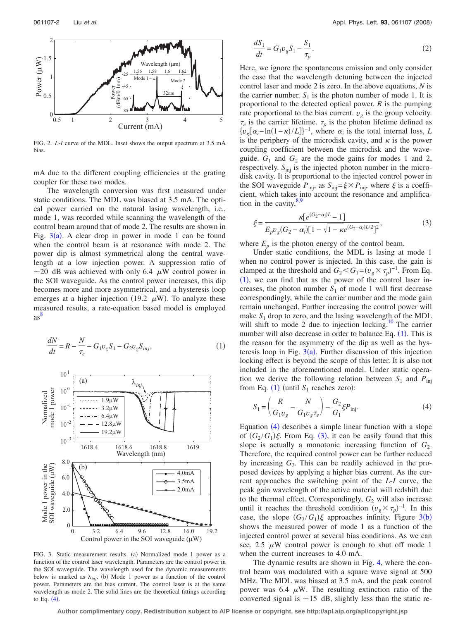<span id="page-1-0"></span>

FIG. 2. *L*-*I* curve of the MDL. Inset shows the output spectrum at 3.5 mA bias.

mA due to the different coupling efficiencies at the grating coupler for these two modes.

The wavelength conversion was first measured under static conditions. The MDL was biased at 3.5 mA. The optical power carried on the natural lasing wavelength, i.e., mode 1, was recorded while scanning the wavelength of the control beam around that of mode 2. The results are shown in Fig.  $3(a)$  $3(a)$ . A clear drop in power in mode 1 can be found when the control beam is at resonance with mode 2. The power dip is almost symmetrical along the central wavelength at a low injection power. A suppression ratio of  $\sim$ 20 dB was achieved with only 6.4  $\mu$ W control power in the SOI waveguide. As the control power increases, this dip becomes more and more asymmetrical, and a hysteresis loop emerges at a higher injection (19.2  $\mu$ W). To analyze these [mea](#page-2-6)sured results, a rate-equation based model is employed as 8

<span id="page-1-2"></span><span id="page-1-1"></span>
$$
\frac{dN}{dt} = R - \frac{N}{\tau_e} - G_1 v_g S_1 - G_2 v_g S_{inj},
$$
\n(1)



FIG. 3. Static measurement results. (a) Normalized mode 1 power as a function of the control laser wavelength. Parameters are the control power in the SOI waveguide. The wavelength used for the dynamic measurements below is marked as  $\lambda_{inj}$ . (b) Mode 1 power as a function of the control power. Parameters are the bias current. The control laser is at the same wavelength as mode 2. The solid lines are the theoretical fittings according to Eq.  $(4)$  $(4)$  $(4)$ .

<span id="page-1-5"></span>
$$
\frac{dS_1}{dt} = G_1 v_g S_1 - \frac{S_1}{\tau_p}.
$$
\n(2)

Here, we ignore the spontaneous emission and only consider the case that the wavelength detuning between the injected control laser and mode 2 is zero. In the above equations, *N* is the carrier number.  $S_1$  is the photon number of mode 1. It is proportional to the detected optical power. *R* is the pumping rate proportional to the bias current.  $v_g$  is the group velocity.  $\tau_e$  is the carrier lifetime.  $\tau_p$  is the photon lifetime defined as  $\{v_g[\alpha_i - \ln(1-\kappa)/L]\}^{-1}$ , where  $\alpha_i$  is the total internal loss, *L* is the periphery of the microdisk cavity, and  $\kappa$  is the power coupling coefficient between the microdisk and the waveguide.  $G_1$  and  $G_2$  are the mode gains for modes 1 and 2, respectively.  $S_{\text{inj}}$  is the injected photon number in the microdisk cavity. It is proportional to the injected control power in the SOI waveguide  $P_{\text{inj}}$ , as  $S_{\text{inj}} = \xi \times P_{\text{inj}}$ , where  $\xi$  is a coefficient, which takes into account the resonance and amplification in the cavity, $8,9$  $8,9$ 

<span id="page-1-4"></span>
$$
\xi = \frac{\kappa [e^{(G_2 - \alpha_i)L} - 1]}{E_p v_g (G_2 - \alpha_i) [1 - \sqrt{1 - \kappa} e^{(G_2 - \alpha_i)L/2}]^2},\tag{3}
$$

where  $E_p$  is the photon energy of the control beam.

Under static conditions, the MDL is lasing at mode 1 when no control power is injected. In this case, the gain is clamped at the threshold and  $G_2 < G_1 = (v_g \times \tau_p)^{-1}$ . From Eq.  $(1)$  $(1)$  $(1)$ , we can find that as the power of the control laser increases, the photon number  $S_1$  of mode 1 will first decrease correspondingly, while the carrier number and the mode gain remain unchanged. Further increasing the control power will make  $S_1$  drop to zero, and the lasing wavelength of the MDL will shift to mode 2 due to injection locking.<sup>10</sup> The carrier number will also decrease in order to balance Eq.  $(1)$  $(1)$  $(1)$ . This is the reason for the asymmetry of the dip as well as the hysteresis loop in Fig.  $3(a)$  $3(a)$ . Further discussion of this injection locking effect is beyond the scope of this letter. It is also not included in the aforementioned model. Under static operation we derive the following relation between  $S_1$  and  $P_{\text{ini}}$ from Eq. ([1](#page-1-2)) (until  $S_1$  reaches zero):

<span id="page-1-3"></span>
$$
S_1 = \left(\frac{R}{G_1 v_g} - \frac{N}{G_1 v_g \tau_e}\right) - \frac{G_2}{G_1} \xi P_{\text{inj}}.
$$
 (4)

Equation ([4](#page-1-3)) describes a simple linear function with a slope of  $(G_2/G_1)\xi$ . From Eq. ([3](#page-1-4)), it can be easily found that this slope is actually a monotonic increasing function of  $G_2$ . Therefore, the required control power can be further reduced by increasing  $G_2$ . This can be readily achieved in the proposed devices by applying a higher bias current. As the current approaches the switching point of the *L*-*I* curve, the peak gain wavelength of the active material will redshift due to the thermal effect. Correspondingly,  $G_2$  will also increase until it reaches the threshold condition  $(v_g \times \tau_p)^{-1}$ . In this case, the slope  $(G_2/G_1)\xi$  approaches infinity. Figure [3](#page-1-1)(b) shows the measured power of mode 1 as a function of the injected control power at several bias conditions. As we can see, 2.5  $\mu$ W control power is enough to shut off mode 1 when the current increases to 4.0 mA.

The dynamic results are shown in Fig. [4,](#page-2-9) where the control beam was modulated with a square wave signal at 500 MHz. The MDL was biased at 3.5 mA, and the peak control power was 6.4  $\mu$ W. The resulting extinction ratio of the converted signal is  $\sim$  15 dB, slightly less than the static re-

**Author complimentary copy. Redistribution subject to AIP license or copyright, see http://apl.aip.org/apl/copyright.jsp**